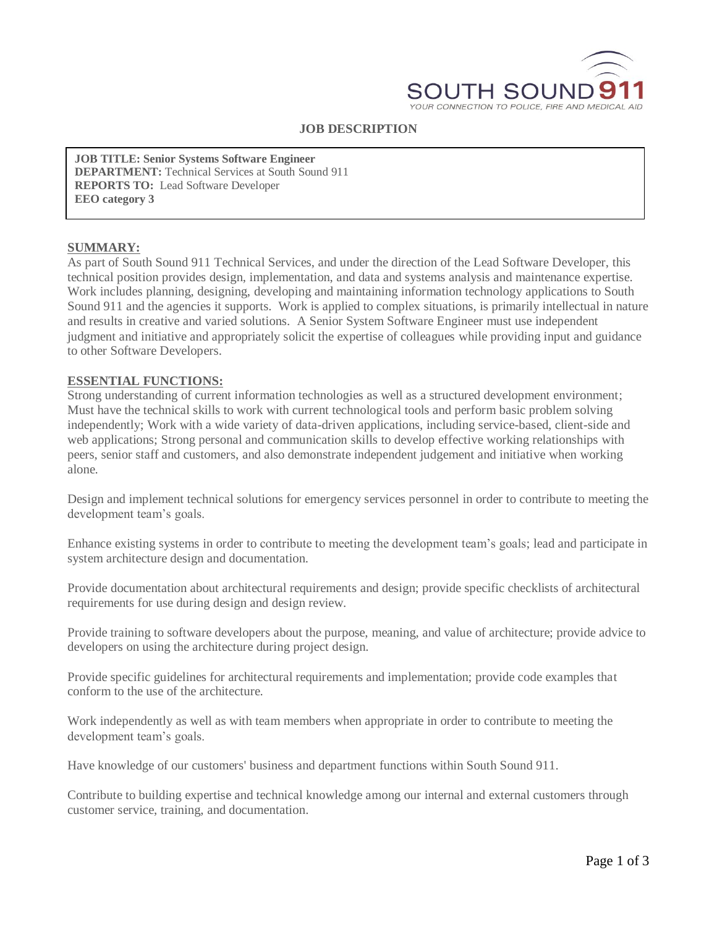

#### **JOB DESCRIPTION**

**JOB TITLE: Senior Systems Software Engineer DEPARTMENT:** Technical Services at South Sound 911 **REPORTS TO:** Lead Software Developer **EEO category 3**

#### **SUMMARY:**

As part of South Sound 911 Technical Services, and under the direction of the Lead Software Developer, this technical position provides design, implementation, and data and systems analysis and maintenance expertise. Work includes planning, designing, developing and maintaining information technology applications to South Sound 911 and the agencies it supports. Work is applied to complex situations, is primarily intellectual in nature and results in creative and varied solutions. A Senior System Software Engineer must use independent judgment and initiative and appropriately solicit the expertise of colleagues while providing input and guidance to other Software Developers.

#### **ESSENTIAL FUNCTIONS:**

Strong understanding of current information technologies as well as a structured development environment; Must have the technical skills to work with current technological tools and perform basic problem solving independently; Work with a wide variety of data-driven applications, including service-based, client-side and web applications; Strong personal and communication skills to develop effective working relationships with peers, senior staff and customers, and also demonstrate independent judgement and initiative when working alone.

Design and implement technical solutions for emergency services personnel in order to contribute to meeting the development team's goals.

Enhance existing systems in order to contribute to meeting the development team's goals; lead and participate in system architecture design and documentation.

Provide documentation about architectural requirements and design; provide specific checklists of architectural requirements for use during design and design review.

Provide training to software developers about the purpose, meaning, and value of architecture; provide advice to developers on using the architecture during project design.

Provide specific guidelines for architectural requirements and implementation; provide code examples that conform to the use of the architecture.

Work independently as well as with team members when appropriate in order to contribute to meeting the development team's goals.

Have knowledge of our customers' business and department functions within South Sound 911.

Contribute to building expertise and technical knowledge among our internal and external customers through customer service, training, and documentation.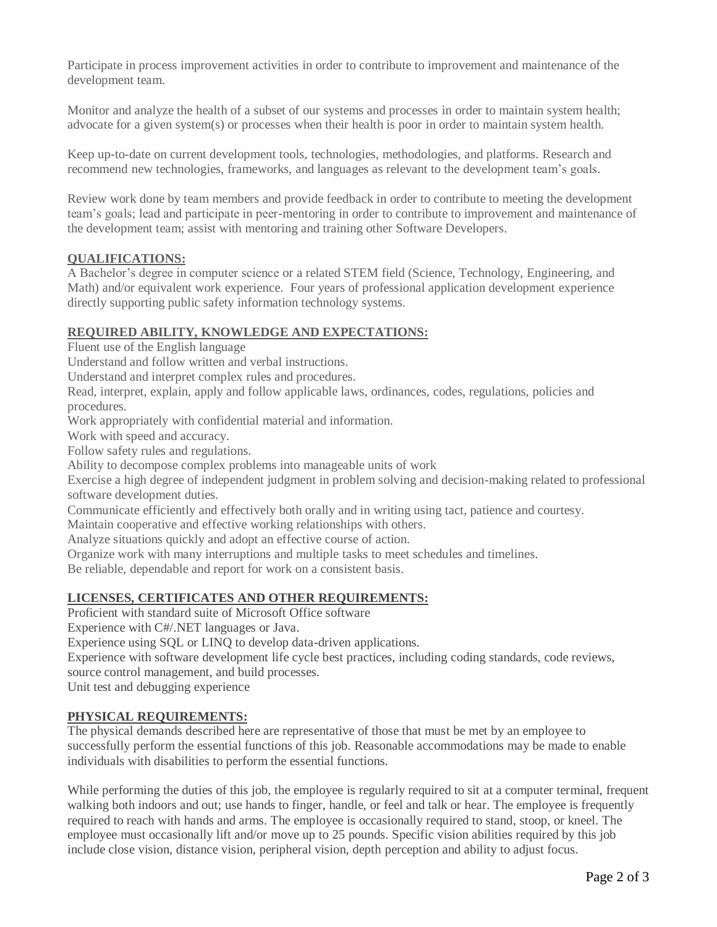Participate in process improvement activities in order to contribute to improvement and maintenance of the development team.

Monitor and analyze the health of a subset of our systems and processes in order to maintain system health; advocate for a given system(s) or processes when their health is poor in order to maintain system health.

Keep up-to-date on current development tools, technologies, methodologies, and platforms. Research and recommend new technologies, frameworks, and languages as relevant to the development team's goals.

Review work done by team members and provide feedback in order to contribute to meeting the development team's goals; lead and participate in peer-mentoring in order to contribute to improvement and maintenance of the development team; assist with mentoring and training other Software Developers.

# **QUALIFICATIONS:**

A Bachelor's degree in computer science or a related STEM field (Science, Technology, Engineering, and Math) and/or equivalent work experience. Four years of professional application development experience directly supporting public safety information technology systems.

# **REQUIRED ABILITY, KNOWLEDGE AND EXPECTATIONS:**

Fluent use of the English language

Understand and follow written and verbal instructions.

Understand and interpret complex rules and procedures.

Read, interpret, explain, apply and follow applicable laws, ordinances, codes, regulations, policies and procedures.

Work appropriately with confidential material and information.

Work with speed and accuracy.

Follow safety rules and regulations.

Ability to decompose complex problems into manageable units of work

Exercise a high degree of independent judgment in problem solving and decision-making related to professional software development duties.

Communicate efficiently and effectively both orally and in writing using tact, patience and courtesy.

Maintain cooperative and effective working relationships with others.

Analyze situations quickly and adopt an effective course of action.

Organize work with many interruptions and multiple tasks to meet schedules and timelines.

Be reliable, dependable and report for work on a consistent basis.

## **LICENSES, CERTIFICATES AND OTHER REQUIREMENTS:**

Proficient with standard suite of Microsoft Office software

Experience with C#/.NET languages or Java.

Experience using SQL or LINQ to develop data-driven applications.

Experience with software development life cycle best practices, including coding standards, code reviews,

source control management, and build processes.

Unit test and debugging experience

## **PHYSICAL REQUIREMENTS:**

The physical demands described here are representative of those that must be met by an employee to successfully perform the essential functions of this job. Reasonable accommodations may be made to enable individuals with disabilities to perform the essential functions.

While performing the duties of this job, the employee is regularly required to sit at a computer terminal, frequent walking both indoors and out; use hands to finger, handle, or feel and talk or hear. The employee is frequently required to reach with hands and arms. The employee is occasionally required to stand, stoop, or kneel. The employee must occasionally lift and/or move up to 25 pounds. Specific vision abilities required by this job include close vision, distance vision, peripheral vision, depth perception and ability to adjust focus.